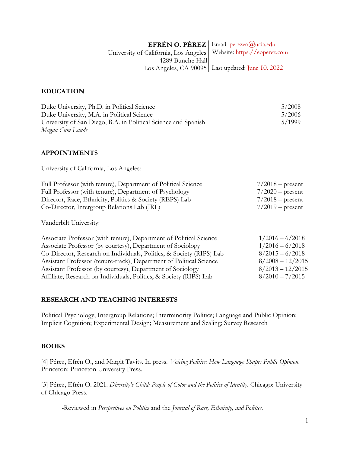#### **EFRÉN O. PÉREZ**  University of California, Los Angeles 4289 Bunche Hall Los Angeles, CA 90095 Last updated: June 10, 2022Email: perezeo@ucla.edu Website: https://eoperez.com

## **EDUCATION**

| Duke University, Ph.D. in Political Science                    | 5/2008 |
|----------------------------------------------------------------|--------|
| Duke University, M.A. in Political Science                     | 5/2006 |
| University of San Diego, B.A. in Political Science and Spanish | 5/1999 |
| Magna Cum Laude                                                |        |

## **APPOINTMENTS**

University of California, Los Angeles:

| Full Professor (with tenure), Department of Political Science | $7/2018$ – present |
|---------------------------------------------------------------|--------------------|
| Full Professor (with tenure), Department of Psychology        | $7/2020$ – present |
| Director, Race, Ethnicity, Politics & Society (REPS) Lab      | $7/2018$ – present |
| Co-Director, Intergroup Relations Lab (IRL)                   | $7/2019$ – present |
|                                                               |                    |

Vanderbilt University:

| Associate Professor (with tenure), Department of Political Science   | $1/2016 - 6/2018$  |
|----------------------------------------------------------------------|--------------------|
| Associate Professor (by courtesy), Department of Sociology           | $1/2016 - 6/2018$  |
| Co-Director, Research on Individuals, Politics, & Society (RIPS) Lab | $8/2015 - 6/2018$  |
| Assistant Professor (tenure-track), Department of Political Science  | $8/2008 - 12/2015$ |
| Assistant Professor (by courtesy), Department of Sociology           | $8/2013 - 12/2015$ |
| Affiliate, Research on Individuals, Politics, & Society (RIPS) Lab   | $8/2010 - 7/2015$  |

#### **RESEARCH AND TEACHING INTERESTS**

Political Psychology; Intergroup Relations; Interminority Politics; Language and Public Opinion; Implicit Cognition; Experimental Design; Measurement and Scaling; Survey Research

## **BOOKS**

[4] Pérez, Efrén O., and Margit Tavits. In press. *Voicing Politics: How Language Shapes Public Opinion*. Princeton: Princeton University Press.

[3] Pérez, Efrén O. 2021. *Diversity's Child: People of Color and the Politics of Identity*. Chicago: University of Chicago Press.

-Reviewed in *Perspectives on Politics* and the *Journal of Race, Ethnicity, and Politics.*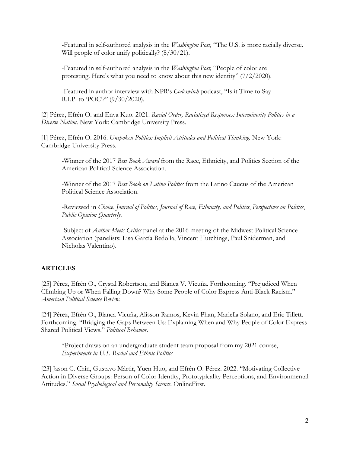-Featured in self-authored analysis in the *Washington Post,* "The U.S. is more racially diverse. Will people of color unify politically?  $(8/30/21)$ .

-Featured in self-authored analysis in the *Washington Post,* "People of color are protesting. Here's what you need to know about this new identity" (7/2/2020).

-Featured in author interview with NPR's *Codeswitch* podcast, "Is it Time to Say R.I.P. to 'POC'?'' (9/30/2020).

[2] Pérez, Efrén O. and Enya Kuo. 2021. *Racial Order, Racialized Responses: Interminority Politics in a Diverse Nation*. New York: Cambridge University Press.

[1] Pérez, Efrén O. 2016. *Unspoken Politics: Implicit Attitudes and Political Thinking.* New York: Cambridge University Press.

-Winner of the 2017 *Best Book Award* from the Race, Ethnicity, and Politics Section of the American Political Science Association.

-Winner of the 2017 *Best Book on Latino Politics* from the Latino Caucus of the American Political Science Association.

-Reviewed in *Choice*, *Journal of Politics*, *Journal of Race, Ethnicity, and Politics*, *Perspectives on Politics*, *Public Opinion Quarterly*.

-Subject of *Author Meets Critics* panel at the 2016 meeting of the Midwest Political Science Association (panelists: Lisa García Bedolla, Vincent Hutchings, Paul Sniderman, and Nicholas Valentino).

## **ARTICLES**

[25] Pérez, Efrén O., Crystal Robertson, and Bianca V. Vicuña. Forthcoming. "Prejudiced When Climbing Up or When Falling Down? Why Some People of Color Express Anti-Black Racism." *American Political Science Review*.

[24] Pérez, Efrén O., Bianca Vicuña, Alisson Ramos, Kevin Phan, Mariella Solano, and Eric Tillett. Forthcoming. "Bridging the Gaps Between Us: Explaining When and Why People of Color Express Shared Political Views." *Political Behavior*.

\*Project draws on an undergraduate student team proposal from my 2021 course, *Experiments in U.S. Racial and Ethnic Politics*

[23] Jason C. Chin, Gustavo Mártir, Yuen Huo, and Efrén O. Pérez. 2022. "Motivating Collective Action in Diverse Groups: Person of Color Identity, Prototypicality Perceptions, and Environmental Attitudes." *Social Psychological and Personality Science*. OnlineFirst.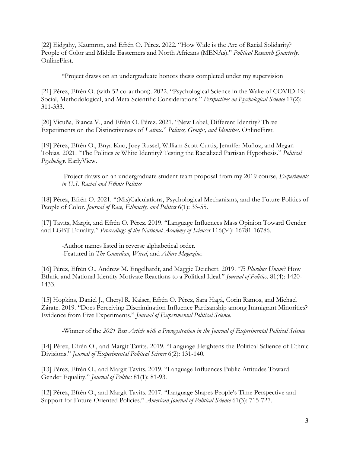[22] Eidgahy, Kaumron, and Efrén O. Pérez. 2022. "How Wide is the Arc of Racial Solidarity? People of Color and Middle Easterners and North Africans (MENAs)." *Political Research Quarterly*. OnlineFirst.

\*Project draws on an undergraduate honors thesis completed under my supervision

[21] Pérez, Efrén O. (with 52 co-authors). 2022. "Psychological Science in the Wake of COVID-19: Social, Methodological, and Meta-Scientific Considerations." *Perspectives on Psychological Science* 17(2): 311-333.

[20] Vicuña, Bianca V., and Efrén O. Pérez. 2021. "New Label, Different Identity? Three Experiments on the Distinctiveness of *Latinx*." *Politics, Groups, and Identities*. OnlineFirst.

[19] Pérez, Efrén O., Enya Kuo, Joey Russel, William Scott-Curtis, Jennifer Muñoz, and Megan Tobias. 2021. "The Politics *in* White Identity? Testing the Racialized Partisan Hypothesis." *Political Psychology*. EarlyView.

-Project draws on an undergraduate student team proposal from my 2019 course, *Experiments in U.S. Racial and Ethnic Politics*

[18] Pérez, Efrén O. 2021. "(Mis)Calculations, Psychological Mechanisms, and the Future Politics of People of Color. *Journal of Race, Ethnicity, and Politics* 6(1): 33-55.

[17] Tavits, Margit, and Efrén O. Pérez. 2019. "Language Influences Mass Opinion Toward Gender and LGBT Equality." *Proceedings of the National Academy of Sciences* 116(34): 16781-16786.

-Author names listed in reverse alphabetical order. -Featured in *The Guardian*, *Wired*, and *Allure Magazine*.

[16] Pérez, Efrén O., Andrew M. Engelhardt, and Maggie Deichert. 2019. "*E Pluribus Unum*? How Ethnic and National Identity Motivate Reactions to a Political Ideal." *Journal of Politics*. 81(4): 1420- 1433.

[15] Hopkins, Daniel J., Cheryl R. Kaiser, Efrén O. Pérez, Sara Hagá, Corin Ramos, and Michael Zárate. 2019. "Does Perceiving Discrimination Influence Partisanship among Immigrant Minorities? Evidence from Five Experiments." *Journal of Experimental Political Science*.

-Winner of the *2021 Best Article with a Preregistration in the Journal of Experimental Political Science*

[14] Pérez, Efrén O., and Margit Tavits. 2019. "Language Heightens the Political Salience of Ethnic Divisions." *Journal of Experimental Political Science* 6(2): 131-140.

[13] Pérez, Efrén O., and Margit Tavits. 2019. "Language Influences Public Attitudes Toward Gender Equality." *Journal of Politics* 81(1): 81-93.

[12] Pérez, Efrén O., and Margit Tavits. 2017. "Language Shapes People's Time Perspective and Support for Future-Oriented Policies." *American Journal of Political Science* 61(3): 715-727.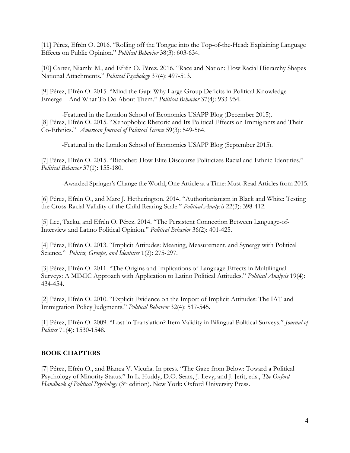[11] Pérez, Efrén O. 2016. "Rolling off the Tongue into the Top-of-the-Head: Explaining Language Effects on Public Opinion." *Political Behavior* 38(3): 603-634.

[10] Carter, Niambi M., and Efrén O. Pérez. 2016. "Race and Nation: How Racial Hierarchy Shapes National Attachments." *Political Psychology* 37(4): 497-513.

[9] Pérez, Efrén O. 2015. "Mind the Gap: Why Large Group Deficits in Political Knowledge Emerge—And What To Do About Them." *Political Behavior* 37(4): 933-954.

-Featured in the London School of Economics USAPP Blog (December 2015). [8] Pérez, Efrén O. 2015. "Xenophobic Rhetoric and Its Political Effects on Immigrants and Their Co-Ethnics." *American Journal of Political Science* 59(3): 549-564.

-Featured in the London School of Economics USAPP Blog (September 2015).

[7] Pérez, Efrén O. 2015. "Ricochet: How Elite Discourse Politicizes Racial and Ethnic Identities." *Political Behavior* 37(1): 155-180.

-Awarded Springer's Change the World, One Article at a Time: Must-Read Articles from 2015.

[6] Pérez, Efrén O., and Marc J. Hetherington. 2014. "Authoritarianism in Black and White: Testing the Cross-Racial Validity of the Child Rearing Scale." *Political Analysis* 22(3): 398-412.

[5] Lee, Taeku, and Efrén O. Pérez. 2014. "The Persistent Connection Between Language-of-Interview and Latino Political Opinion." *Political Behavior* 36(2): 401-425.

[4] Pérez, Efrén O. 2013. "Implicit Attitudes: Meaning, Measurement, and Synergy with Political Science." *Politics, Groups, and Identities* 1(2): 275-297.

[3] Pérez, Efrén O. 2011. "The Origins and Implications of Language Effects in Multilingual Surveys: A MIMIC Approach with Application to Latino Political Attitudes." *Political Analysis* 19(4): 434-454.

[2] Pérez, Efrén O. 2010. "Explicit Evidence on the Import of Implicit Attitudes: The IAT and Immigration Policy Judgments." *Political Behavior* 32(4): 517-545*.* 

[1] Pérez, Efrén O. 2009. "Lost in Translation? Item Validity in Bilingual Political Surveys." *Journal of Politics* 71(4): 1530-1548.

#### **BOOK CHAPTERS**

[7] Pérez, Efrén O., and Bianca V. Vicuña. In press. "The Gaze from Below: Toward a Political Psychology of Minority Status." In L. Huddy, D.O. Sears, J. Levy, and J. Jerit, eds., *The Oxford Handbook of Political Psychology* (3<sup>rd</sup> edition). New York: Oxford University Press.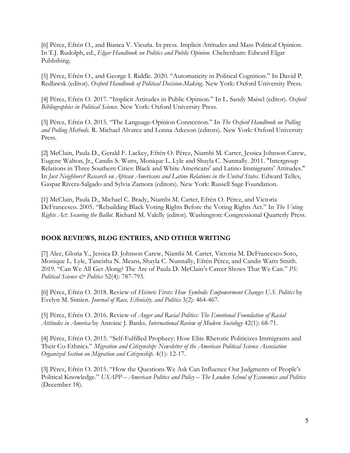[6] Pérez, Efrén O., and Bianca V. Vicuña. In press. Implicit Attitudes and Mass Political Opinion. In T.J. Rudolph, ed., *Elgar Handbook on Politics and Public Opinion*. Cheltenham: Edward Elgar Publishing.

[5] Pérez, Efrén O., and George I. Riddle. 2020. "Automaticity in Political Cognition." In David P. Redlawsk (editor). *Oxford Handbook of Political Decision-Making*. New York: Oxford University Press.

[4] Pérez, Efrén O. 2017. "Implicit Attitudes in Public Opinion." In L. Sandy Maisel (editor). *Oxford Bibliographies in Political Science*. New York: Oxford University Press.

[3] Pérez, Efrén O. 2015. "The Language-Opinion Connection." In *The Oxford Handbook on Polling and Polling Methods*. R. Michael Alvarez and Lonna Atkeson (editors). New York: Oxford University Press.

[2] McClain, Paula D., Gerald F. Lackey, Efrén O. Pérez, Niambi M. Carter, Jessica Johnson Carew, Eugene Walton, Jr., Candis S. Watts, Monique L. Lyle and Shayla C. Nunnally. 2011. "Intergroup Relations in Three Southern Cities: Black and White Americans' and Latino Immigrants' Attitudes." In *Just Neighbors? Research on African Americans and Latino Relations in the United States*. Edward Telles, Gaspar Rivera-Salgado and Sylvia Zamora (editors). New York: Russell Sage Foundation.

[1] McClain, Paula D., Michael C. Brady, Niambi M. Carter, Efrén O. Pérez, and Victoria DeFrancesco. 2005. "Rebuilding Black Voting Rights Before the Voting Rights Act." In *The Voting Rights Act: Securing the Ballot*. Richard M. Valelly (editor). Washington: Congressional Quarterly Press.

## **BOOK REVIEWS, BLOG ENTRIES, AND OTHER WRITING**

[7] Alee, Gloria Y., Jessica D. Johnson Carew, Niambi M. Carter, Victoria M. DeFrancesco Soto, Monique L. Lyle, Taneisha N. Means, Shayla C. Nunnally, Efrén Pérez, and Candis Watts Smith. 2019. "Can We All Get Along? The Arc of Paula D. McClain's Career Shows That We Can." *PS: Political Science & Politics* 52(4): 787-793.

[6] Pérez, Efrén O. 2018. Review of *Historic Firsts: How Symbolic Empowerment Changes U.S. Politics* by Evelyn M. Simien. *Journal of Race, Ethnicity, and Politics* 3(2): 464-467.

[5] Pérez, Efrén O. 2016. Review of *Anger and Racial Politics: The Emotional Foundation of Racial Attitudes in America* by Antoine J. Banks. *International Review of Modern Sociology* 42(1): 68-71.

[4] Pérez, Efrén O. 2015. "Self-Fulfilled Prophecy: How Elite Rhetoric Politicizes Immigrants and Their Co-Ethnics." *Migration and Citizenship: Newsletter of the American Political Science Association Organized Section on Migration and Citizenship*. 4(1): 12-17.

[3] Pérez, Efrén O. 2015. "How the Questions We Ask Can Influence Our Judgments of People's Political Knowledge." *USAPP – American Politics and Policy – The London School of Economics and Politics*  (December 18).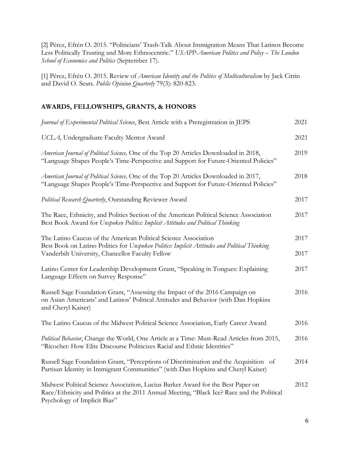[2] Pérez, Efrén O. 2015. "Politicians' Trash-Talk About Immigration Means That Latinos Become Less Politically Trusting and More Ethnocentric." *USAPP-American Politics and Policy – The London School of Economics and Politics* (September 17).

[1] Pérez, Efrén O. 2015. Review of *American Identity and the Politics of Multiculturalism* by Jack Citrin and David O. Sears. *Public Opinion Quarterly* 79(3): 820-823.

# **AWARDS, FELLOWSHIPS, GRANTS, & HONORS**

| Journal of Experimental Political Science, Best Article with a Preregistration in JEPS                                                                                                                         | 2021 |
|----------------------------------------------------------------------------------------------------------------------------------------------------------------------------------------------------------------|------|
| UCLA, Undergraduate Faculty Mentor Award                                                                                                                                                                       | 2021 |
| American Journal of Political Science, One of the Top 20 Articles Downloaded in 2018,<br>"Language Shapes People's Time-Perspective and Support for Future-Oriented Policies"                                  | 2019 |
| American Journal of Political Science, One of the Top 20 Articles Downloaded in 2017,<br>"Language Shapes People's Time-Perspective and Support for Future-Oriented Policies"                                  | 2018 |
| Political Research Quarterly, Outstanding Reviewer Award                                                                                                                                                       | 2017 |
| The Race, Ethnicity, and Politics Section of the American Political Science Association<br>Best Book Award for Unspoken Politics: Implicit Attitudes and Political Thinking                                    | 2017 |
| The Latino Caucus of the American Political Science Association                                                                                                                                                | 2017 |
| Best Book on Latino Politics for Unspoken Politics: Implicit Attitudes and Political Thinking<br>Vanderbilt University, Chancellor Faculty Fellow                                                              | 2017 |
| Latino Center for Leadership Development Grant, "Speaking in Tongues: Explaining<br>Language Effects on Survey Response"                                                                                       | 2017 |
| Russell Sage Foundation Grant, "Assessing the Impact of the 2016 Campaign on<br>on Asian Americans' and Latinos' Political Attitudes and Behavior (with Dan Hopkins<br>and Cheryl Kaiser)                      | 2016 |
| The Latino Caucus of the Midwest Political Science Association, Early Career Award                                                                                                                             | 2016 |
| Political Behavior, Change the World, One Article at a Time: Must-Read Articles from 2015,<br>"Ricochet: How Elite Discourse Politicizes Racial and Ethnic Identities"                                         | 2016 |
| Russell Sage Foundation Grant, "Perceptions of Discrimination and the Acquisition of<br>Partisan Identity in Immigrant Communities" (with Dan Hopkins and Cheryl Kaiser)                                       | 2014 |
| Midwest Political Science Association, Lucius Barker Award for the Best Paper on<br>Race/Ethnicity and Politics at the 2011 Annual Meeting, "Black Ice? Race and the Political<br>Psychology of Implicit Bias" | 2012 |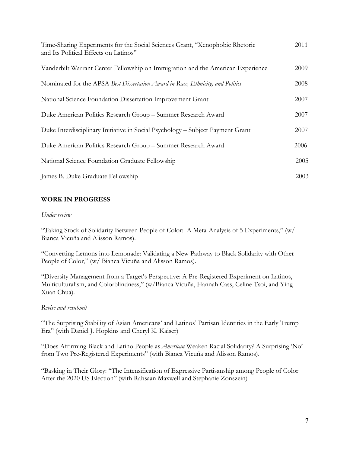| Time-Sharing Experiments for the Social Sciences Grant, "Xenophobic Rhetoric<br>and Its Political Effects on Latinos" | 2011 |
|-----------------------------------------------------------------------------------------------------------------------|------|
| Vanderbilt Warrant Center Fellowship on Immigration and the American Experience                                       | 2009 |
| Nominated for the APSA Best Dissertation Award in Race, Ethnicity, and Politics                                       | 2008 |
| National Science Foundation Dissertation Improvement Grant                                                            | 2007 |
| Duke American Politics Research Group - Summer Research Award                                                         | 2007 |
| Duke Interdisciplinary Initiative in Social Psychology – Subject Payment Grant                                        | 2007 |
| Duke American Politics Research Group - Summer Research Award                                                         | 2006 |
| National Science Foundation Graduate Fellowship                                                                       | 2005 |
| James B. Duke Graduate Fellowship                                                                                     | 2003 |

## **WORK IN PROGRESS**

#### *Under review*

"Taking Stock of Solidarity Between People of Color: A Meta-Analysis of 5 Experiments," (w/ Bianca Vicuña and Alisson Ramos).

"Converting Lemons into Lemonade: Validating a New Pathway to Black Solidarity with Other People of Color," (w/ Bianca Vicuña and Alisson Ramos).

"Diversity Management from a Target's Perspective: A Pre-Registered Experiment on Latinos, Multiculturalism, and Colorblindness," (w/Bianca Vicuña, Hannah Cass, Celine Tsoi, and Ying Xuan Chua).

#### *Revise and resubmit*

"The Surprising Stability of Asian Americans' and Latinos' Partisan Identities in the Early Trump Era" (with Daniel J. Hopkins and Cheryl K. Kaiser)

"Does Affirming Black and Latino People as *American* Weaken Racial Solidarity? A Surprising 'No' from Two Pre-Registered Experiments" (with Bianca Vicuña and Alisson Ramos).

"Basking in Their Glory: "The Intensification of Expressive Partisanship among People of Color After the 2020 US Election" (with Rahsaan Maxwell and Stephanie Zonszein)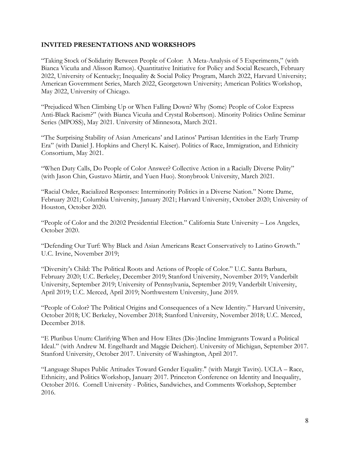### **INVITED PRESENTATIONS AND WORKSHOPS**

"Taking Stock of Solidarity Between People of Color: A Meta-Analysis of 5 Experiments," (with Bianca Vicuña and Alisson Ramos). Quantitative Initiative for Policy and Social Research, February 2022, University of Kentucky; Inequality & Social Policy Program, March 2022, Harvard University; American Government Series, March 2022, Georgetown University; American Politics Workshop, May 2022, University of Chicago.

"Prejudiced When Climbing Up or When Falling Down? Why (Some) People of Color Express Anti-Black Racism?" (with Bianca Vicuña and Crystal Robertson). Minority Politics Online Seminar Series (MPOSS), May 2021. University of Minnesota, March 2021.

"The Surprising Stability of Asian Americans' and Latinos' Partisan Identities in the Early Trump Era" (with Daniel J. Hopkins and Cheryl K. Kaiser). Politics of Race, Immigration, and Ethnicity Consortium, May 2021.

"When Duty Calls, Do People of Color Answer? Collective Action in a Racially Diverse Polity" (with Jason Chin, Gustavo Mártir, and Yuen Huo). Stonybrook University, March 2021.

"Racial Order, Racialized Responses: Interminority Politics in a Diverse Nation." Notre Dame, February 2021; Columbia University, January 2021; Harvard University, October 2020; University of Houston, October 2020.

"People of Color and the 20202 Presidential Election." California State University – Los Angeles, October 2020.

"Defending Our Turf: Why Black and Asian Americans React Conservatively to Latino Growth." U.C. Irvine, November 2019;

"Diversity's Child: The Political Roots and Actions of People of Color." U.C. Santa Barbara, February 2020; U.C. Berkeley, December 2019; Stanford University, November 2019; Vanderbilt University, September 2019; University of Pennsylvania, September 2019; Vanderbilt University, April 2019; U.C. Merced, April 2019; Northwestern University, June 2019.

"People of Color? The Political Origins and Consequences of a New Identity." Harvard University, October 2018; UC Berkeley, November 2018; Stanford University, November 2018; U.C. Merced, December 2018.

"E Pluribus Unum: Clarifying When and How Elites (Dis-)Incline Immigrants Toward a Political Ideal." (with Andrew M. Engelhardt and Maggie Deichert). University of Michigan, September 2017. Stanford University, October 2017. University of Washington, April 2017.

"Language Shapes Public Attitudes Toward Gender Equality." (with Margit Tavits). UCLA – Race, Ethnicity, and Politics Workshop, January 2017. Princeton Conference on Identity and Inequality, October 2016. Cornell University - Politics, Sandwiches, and Comments Workshop, September 2016.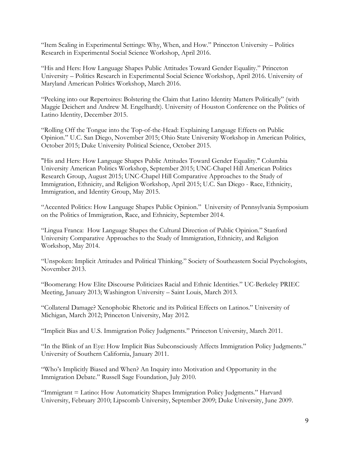"Item Scaling in Experimental Settings: Why, When, and How." Princeton University – Politics Research in Experimental Social Science Workshop, April 2016.

"His and Hers: How Language Shapes Public Attitudes Toward Gender Equality." Princeton University – Politics Research in Experimental Social Science Workshop, April 2016. University of Maryland American Politics Workshop, March 2016.

"Peeking into our Repertoires: Bolstering the Claim that Latino Identity Matters Politically" (with Maggie Deichert and Andrew M. Engelhardt). University of Houston Conference on the Politics of Latino Identity, December 2015.

"Rolling Off the Tongue into the Top-of-the-Head: Explaining Language Effects on Public Opinion." U.C. San Diego, November 2015; Ohio State University Workshop in American Politics, October 2015; Duke University Political Science, October 2015.

"His and Hers: How Language Shapes Public Attitudes Toward Gender Equality." Columbia University American Politics Workshop, September 2015; UNC-Chapel Hill American Politics Research Group, August 2015; UNC-Chapel Hill Comparative Approaches to the Study of Immigration, Ethnicity, and Religion Workshop, April 2015; U.C. San Diego - Race, Ethnicity, Immigration, and Identity Group, May 2015.

"Accented Politics: How Language Shapes Public Opinion." University of Pennsylvania Symposium on the Politics of Immigration, Race, and Ethnicity, September 2014.

"Lingua Franca: How Language Shapes the Cultural Direction of Public Opinion." Stanford University Comparative Approaches to the Study of Immigration, Ethnicity, and Religion Workshop, May 2014.

"Unspoken: Implicit Attitudes and Political Thinking." Society of Southeastern Social Psychologists, November 2013.

"Boomerang: How Elite Discourse Politicizes Racial and Ethnic Identities." UC-Berkeley PRIEC Meeting, January 2013; Washington University – Saint Louis, March 2013.

"Collateral Damage? Xenophobic Rhetoric and its Political Effects on Latinos." University of Michigan, March 2012; Princeton University, May 2012.

"Implicit Bias and U.S. Immigration Policy Judgments." Princeton University, March 2011.

"In the Blink of an Eye: How Implicit Bias Subconsciously Affects Immigration Policy Judgments." University of Southern California, January 2011.

"Who's Implicitly Biased and When? An Inquiry into Motivation and Opportunity in the Immigration Debate." Russell Sage Foundation, July 2010.

"Immigrant = Latino: How Automaticity Shapes Immigration Policy Judgments." Harvard University, February 2010; Lipscomb University, September 2009; Duke University, June 2009.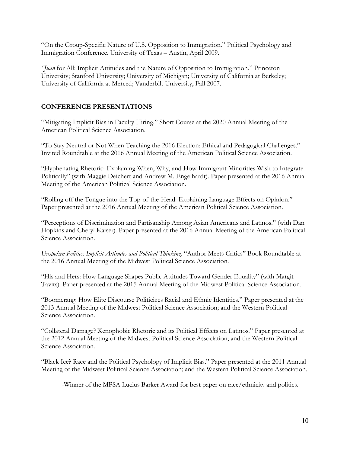"On the Group-Specific Nature of U.S. Opposition to Immigration." Political Psychology and Immigration Conference. University of Texas – Austin, April 2009.

*"Juan* for All: Implicit Attitudes and the Nature of Opposition to Immigration." Princeton University; Stanford University; University of Michigan; University of California at Berkeley; University of California at Merced; Vanderbilt University, Fall 2007.

# **CONFERENCE PRESENTATIONS**

"Mitigating Implicit Bias in Faculty Hiring." Short Course at the 2020 Annual Meeting of the American Political Science Association.

"To Stay Neutral or Not When Teaching the 2016 Election: Ethical and Pedagogical Challenges." Invited Roundtable at the 2016 Annual Meeting of the American Political Science Association.

"Hyphenating Rhetoric: Explaining When, Why, and How Immigrant Minorities Wish to Integrate Politically" (with Maggie Deichert and Andrew M. Engelhardt). Paper presented at the 2016 Annual Meeting of the American Political Science Association.

"Rolling off the Tongue into the Top-of-the-Head: Explaining Language Effects on Opinion." Paper presented at the 2016 Annual Meeting of the American Political Science Association.

"Perceptions of Discrimination and Partisanship Among Asian Americans and Latinos." (with Dan Hopkins and Cheryl Kaiser). Paper presented at the 2016 Annual Meeting of the American Political Science Association.

*Unspoken Politics: Implicit Attitudes and Political Thinking*. "Author Meets Critics" Book Roundtable at the 2016 Annual Meeting of the Midwest Political Science Association.

"His and Hers: How Language Shapes Public Attitudes Toward Gender Equality" (with Margit Tavits). Paper presented at the 2015 Annual Meeting of the Midwest Political Science Association.

"Boomerang: How Elite Discourse Politicizes Racial and Ethnic Identities." Paper presented at the 2013 Annual Meeting of the Midwest Political Science Association; and the Western Political Science Association.

"Collateral Damage? Xenophobic Rhetoric and its Political Effects on Latinos." Paper presented at the 2012 Annual Meeting of the Midwest Political Science Association; and the Western Political Science Association.

"Black Ice? Race and the Political Psychology of Implicit Bias." Paper presented at the 2011 Annual Meeting of the Midwest Political Science Association; and the Western Political Science Association.

-Winner of the MPSA Lucius Barker Award for best paper on race/ethnicity and politics.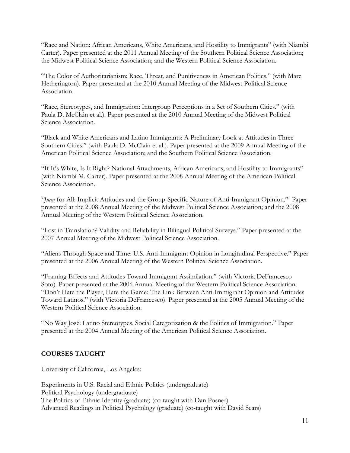"Race and Nation: African Americans, White Americans, and Hostility to Immigrants" (with Niambi Carter). Paper presented at the 2011 Annual Meeting of the Southern Political Science Association; the Midwest Political Science Association; and the Western Political Science Association.

"The Color of Authoritarianism: Race, Threat, and Punitiveness in American Politics." (with Marc Hetherington). Paper presented at the 2010 Annual Meeting of the Midwest Political Science Association.

"Race, Stereotypes, and Immigration: Intergroup Perceptions in a Set of Southern Cities." (with Paula D. McClain et al.). Paper presented at the 2010 Annual Meeting of the Midwest Political Science Association.

"Black and White Americans and Latino Immigrants: A Preliminary Look at Attitudes in Three Southern Cities." (with Paula D. McClain et al.). Paper presented at the 2009 Annual Meeting of the American Political Science Association; and the Southern Political Science Association.

"If It's White, Is It Right? National Attachments, African Americans, and Hostility to Immigrants" (with Niambi M. Carter). Paper presented at the 2008 Annual Meeting of the American Political Science Association.

*"Juan* for All: Implicit Attitudes and the Group-Specific Nature of Anti-Immigrant Opinion." Paper presented at the 2008 Annual Meeting of the Midwest Political Science Association; and the 2008 Annual Meeting of the Western Political Science Association.

"Lost in Translation? Validity and Reliability in Bilingual Political Surveys." Paper presented at the 2007 Annual Meeting of the Midwest Political Science Association.

"Aliens Through Space and Time: U.S. Anti-Immigrant Opinion in Longitudinal Perspective." Paper presented at the 2006 Annual Meeting of the Western Political Science Association.

"Framing Effects and Attitudes Toward Immigrant Assimilation." (with Victoria DeFrancesco Soto). Paper presented at the 2006 Annual Meeting of the Western Political Science Association. "Don't Hate the Player, Hate the Game: The Link Between Anti-Immigrant Opinion and Attitudes Toward Latinos." (with Victoria DeFrancesco). Paper presented at the 2005 Annual Meeting of the Western Political Science Association.

"No Way José: Latino Stereotypes, Social Categorization & the Politics of Immigration." Paper presented at the 2004 Annual Meeting of the American Political Science Association.

## **COURSES TAUGHT**

University of California, Los Angeles:

Experiments in U.S. Racial and Ethnic Politics (undergraduate) Political Psychology (undergraduate) The Politics of Ethnic Identity (graduate) (co-taught with Dan Posner) Advanced Readings in Political Psychology (graduate) (co-taught with David Sears)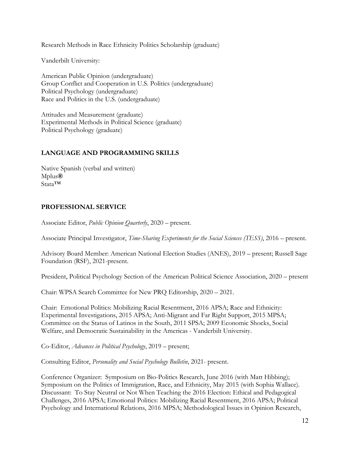Research Methods in Race Ethnicity Politics Scholarship (graduate)

Vanderbilt University:

American Public Opinion (undergraduate) Group Conflict and Cooperation in U.S. Politics (undergraduate) Political Psychology (undergraduate) Race and Politics in the U.S. (undergraduate)

Attitudes and Measurement (graduate) Experimental Methods in Political Science (graduate) Political Psychology (graduate)

## **LANGUAGE AND PROGRAMMING SKILLS**

Native Spanish (verbal and written) Mplus**®** Stata™

#### **PROFESSIONAL SERVICE**

Associate Editor, *Public Opinion Quarterly*, 2020 – present.

Associate Principal Investigator, *Time-Sharing Experiments for the Social Sciences (TESS)*, 2016 – present.

Advisory Board Member: American National Election Studies (ANES), 2019 – present; Russell Sage Foundation (RSF), 2021-present.

President, Political Psychology Section of the American Political Science Association, 2020 – present

Chair: WPSA Search Committee for New PRQ Editorship, 2020 – 2021.

Chair: Emotional Politics: Mobilizing Racial Resentment, 2016 APSA; Race and Ethnicity: Experimental Investigations, 2015 APSA; Anti-Migrant and Far Right Support, 2015 MPSA; Committee on the Status of Latinos in the South, 2011 SPSA; 2009 Economic Shocks, Social Welfare, and Democratic Sustainability in the Americas - Vanderbilt University.

Co-Editor, *Advances in Political Psychology*, 2019 – present;

Consulting Editor, *Personality and Social Psychology Bulletin*, 2021- present.

Conference Organizer: Symposium on Bio-Politics Research, June 2016 (with Matt Hibbing); Symposium on the Politics of Immigration, Race, and Ethnicity, May 2015 (with Sophia Wallace). Discussant: To Stay Neutral or Not When Teaching the 2016 Election: Ethical and Pedagogical Challenges, 2016 APSA; Emotional Politics: Mobilizing Racial Resentment, 2016 APSA; Political Psychology and International Relations, 2016 MPSA; Methodological Issues in Opinion Research,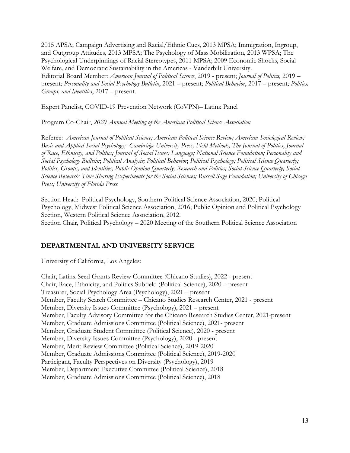2015 APSA; Campaign Advertising and Racial/Ethnic Cues, 2013 MPSA; Immigration, Ingroup, and Outgroup Attitudes, 2013 MPSA; The Psychology of Mass Mobilization, 2013 WPSA; The Psychological Underpinnings of Racial Stereotypes, 2011 MPSA; 2009 Economic Shocks, Social Welfare, and Democratic Sustainability in the Americas - Vanderbilt University. Editorial Board Member: *American Journal of Political Science*, 2019 - present; *Journal of Politics,* 2019 – present; *Personality and Social Psychology Bulletin*, 2021 – present; *Political Behavior*, 2017 – present; *Politics, Groups, and Identities*, 2017 – present.

Expert Panelist, COVID-19 Prevention Network (CoVPN)– Latinx Panel

Program Co-Chair, *2020 Annual Meeting of the American Political Science Association*

Referee: *American Journal of Political Science; American Political Science Review; American Sociological Review; Basic and Applied Social Psychology; Cambridge University Press; Field Methods; The Journal of Politics*; *Journal of Race, Ethnicity, and Politics; Journal of Social Issues; Language; National Science Foundation; Personality and Social Psychology Bulletin*; *Political Analysis; Political Behavior*; *Political Psychology; Political Science Quarterly; Politics, Groups, and Identities; Public Opinion Quarterly; Research and Politics; Social Science Quarterly; Social Science Research; Time-Sharing Experiments for the Social Sciences; Russell Sage Foundation; University of Chicago Press; University of Florida Press.* 

Section Head: Political Psychology, Southern Political Science Association, 2020; Political Psychology, Midwest Political Science Association, 2016; Public Opinion and Political Psychology Section, Western Political Science Association, 2012. Section Chair, Political Psychology – 2020 Meeting of the Southern Political Science Association

#### **DEPARTMENTAL AND UNIVERSITY SERVICE**

University of California, Los Angeles:

Chair, Latinx Seed Grants Review Committee (Chicano Studies), 2022 - present Chair, Race, Ethnicity, and Politics Subfield (Political Science), 2020 – present Treasurer, Social Psychology Area (Psychology), 2021 – present Member, Faculty Search Committee – Chicano Studies Research Center, 2021 - present Member, Diversity Issues Committee (Psychology), 2021 – present Member, Faculty Advisory Committee for the Chicano Research Studies Center, 2021-present Member, Graduate Admissions Committee (Political Science), 2021- present Member, Graduate Student Committee (Political Science), 2020 - present Member, Diversity Issues Committee (Psychology), 2020 - present Member, Merit Review Committee (Political Science), 2019-2020 Member, Graduate Admissions Committee (Political Science), 2019-2020 Participant, Faculty Perspectives on Diversity (Psychology), 2019 Member, Department Executive Committee (Political Science), 2018 Member, Graduate Admissions Committee (Political Science), 2018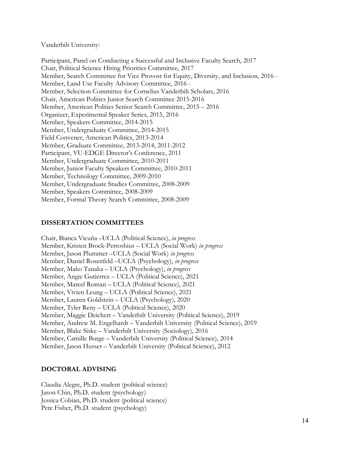Vanderbilt University:

Participant, Panel on Conducting a Successful and Inclusive Faculty Search, 2017 Chair, Political Science Hiring Priorities Committee, 2017 Member, Search Committee for Vice Provost for Equity, Diversity, and Inclusion, 2016 - Member, Land Use Faculty Advisory Committee, 2016 - Member, Selection Committee for Cornelius Vanderbilt Scholars, 2016 Chair, American Politics Junior Search Committee 2015-2016 Member, American Politics Senior Search Committee, 2015 – 2016 Organizer, Experimental Speaker Series, 2015, 2016 Member, Speakers Committee, 2014-2015 Member, Undergraduate Committee, 2014-2015 Field Convener, American Politics, 2013-2014 Member, Graduate Committee, 2013-2014, 2011-2012 Participant, VU-EDGE Director's Conference, 2011 Member, Undergraduate Committee, 2010-2011 Member, Junior Faculty Speakers Committee, 2010-2011 Member, Technology Committee, 2009-2010 Member, Undergraduate Studies Committee, 2008-2009 Member, Speakers Committee, 2008-2009 Member, Formal Theory Search Committee, 2008-2009

#### **DISSERTATION COMMITTEES**

Chair, Bianca Vicuña –UCLA (Political Science), *in progress* Member, Kristen Brock-Petroshius – UCLA (Social Work) *in progress* Member, Jason Plummer –UCLA (Social Work) *in progress* Member, Daniel Rosenfeld –UCLA (Psychology), *in progress*  Member, Mako Tanaka – UCLA (Psychology), *in progress* Member, Angie Gutierrez – UCLA (Political Science), 2021 Member, Marcel Roman – UCLA (Political Science), 2021 Member, Vivien Leung – UCLA (Political Science), 2021 Member, Lauren Goldstein – UCLA (Psychology), 2020 Member, Tyler Reny – UCLA (Political Science), 2020 Member, Maggie Deichert – Vanderbilt University (Political Science), 2019 Member, Andrew M. Engelhardt – Vanderbilt University (Political Science), 2019 Member, Blake Siske – Vanderbilt University (Sociology), 2016 Member, Camille Burge – Vanderbilt University (Political Science), 2014 Member, Jason Husser – Vanderbilt University (Political Science), 2012

#### **DOCTORAL ADVISING**

Claudia Alegre, Ph.D. student (political science) Jason Chin, Ph.D. student (psychology) Jessica Cobian, Ph.D. student (political science) Pete Fisher, Ph.D. student (psychology)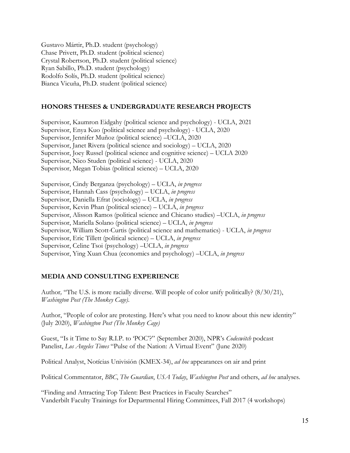Gustavo Mártir, Ph.D. student (psychology) Chase Privett, Ph.D. student (political science) Crystal Robertson, Ph.D. student (political science) Ryan Sabillo, Ph.D. student (psychology) Rodolfo Solís, Ph.D. student (political science) Bianca Vicuña, Ph.D. student (political science)

# **HONORS THESES & UNDERGRADUATE RESEARCH PROJECTS**

Supervisor, Kaumron Eidgahy (political science and psychology) - UCLA, 2021 Supervisor, Enya Kuo (political science and psychology) - UCLA, 2020 Supervisor, Jennifer Muñoz (political science) –UCLA, 2020 Supervisor, Janet Rivera (political science and sociology) – UCLA, 2020 Supervisor, Joey Russel (political science and cognitive science) – UCLA 2020 Supervisor, Nico Studen (political science) - UCLA, 2020 Supervisor, Megan Tobias (political science) – UCLA, 2020

Supervisor, Cindy Berganza (psychology) – UCLA, *in progress* Supervisor, Hannah Cass (psychology) – UCLA, *in progress* Supervisor, Daniella Efrat (sociology) – UCLA, *in progress* Supervisor, Kevin Phan (political science) – UCLA, *in progress* Supervisor, Alisson Ramos (political science and Chicano studies) –UCLA, *in progress* Supervisor, Mariella Solano (political science) – UCLA, *in progress* Supervisor, William Scott-Curtis (political science and mathematics) - UCLA, *in progress* Supervisor, Eric Tillett (political science) – UCLA, *in progress* Supervisor, Celine Tsoi (psychology) –UCLA, *in progress* Supervisor, Ying Xuan Chua (economics and psychology) –UCLA, *in progress*

## **MEDIA AND CONSULTING EXPERIENCE**

Author*,* "The U.S. is more racially diverse. Will people of color unify politically? (8/30/21), *Washington Post (The Monkey Cage)*.

Author, "People of color are protesting. Here's what you need to know about this new identity" (July 2020), *Washington Post (The Monkey Cage)*

Guest, "Is it Time to Say R.I.P. to 'POC'?" (September 2020), NPR's *Codeswitch* podcast Panelist, *Los Angeles Times* "Pulse of the Nation: A Virtual Event" (June 2020)

Political Analyst, Notícias Univisión (KMEX-34), *ad hoc* appearances on air and print

Political Commentator, *BBC*, *The Guardian*, *USA Today*, *Washington Post* and others, *ad hoc* analyses.

"Finding and Attracting Top Talent: Best Practices in Faculty Searches" Vanderbilt Faculty Trainings for Departmental Hiring Committees, Fall 2017 (4 workshops)